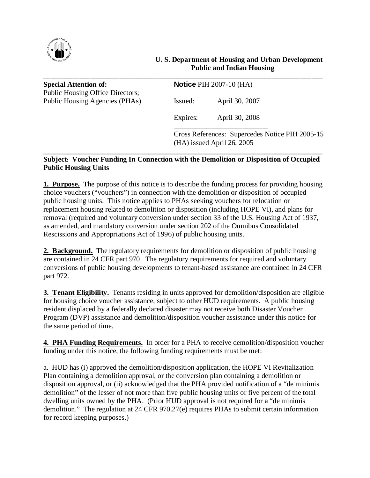

| <b>Special Attention of:</b>                                       | <b>Notice PIH 2007-10 (HA)</b> |                                                                               |
|--------------------------------------------------------------------|--------------------------------|-------------------------------------------------------------------------------|
| Public Housing Office Directors;<br>Public Housing Agencies (PHAs) | Issued:                        | April 30, 2007                                                                |
|                                                                    | Expires:                       | April 30, 2008                                                                |
|                                                                    |                                | Cross References: Supercedes Notice PIH 2005-15<br>(HA) issued April 26, 2005 |

# Subject: Voucher Funding In Connection with the Demolition or Disposition of Occupied Public Housing Units

1. Purpose. The purpose of this notice is to describe the funding process for providing housing choice vouchers ("vouchers") in connection with the demolition or disposition of occupied public housing units. This notice applies to PHAs seeking vouchers for relocation or replacement housing related to demolition or disposition (including HOPE VI), and plans for removal (required and voluntary conversion under section 33 of the U.S. Housing Act of 1937, as amended, and mandatory conversion under section 202 of the Omnibus Consolidated Rescissions and Appropriations Act of 1996) of public housing units.

2. Background. The regulatory requirements for demolition or disposition of public housing are contained in 24 CFR part 970. The regulatory requirements for required and voluntary conversions of public housing developments to tenant-based assistance are contained in 24 CFR part 972.

3. Tenant Eligibility. Tenants residing in units approved for demolition/disposition are eligible for housing choice voucher assistance, subject to other HUD requirements. A public housing resident displaced by a federally declared disaster may not receive both Disaster Voucher Program (DVP) assistance and demolition/disposition voucher assistance under this notice for the same period of time.

4. PHA Funding Requirements. In order for a PHA to receive demolition/disposition voucher funding under this notice, the following funding requirements must be met:

a. HUD has (i) approved the demolition/disposition application, the HOPE VI Revitalization Plan containing a demolition approval, or the conversion plan containing a demolition or disposition approval, or (ii) acknowledged that the PHA provided notification of a "de minimis" demolition" of the lesser of not more than five public housing units or five percent of the total dwelling units owned by the PHA. (Prior HUD approval is not required for a "de minimis") demolition." The regulation at 24 CFR 970.27(e) requires PHAs to submit certain information for record keeping purposes.)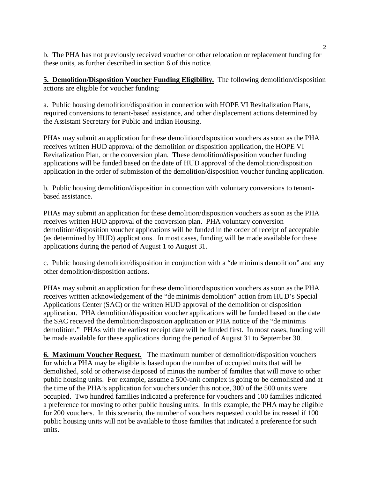2 b. The PHA has not previously received voucher or other relocation or replacement funding for these units, as further described in section 6 of this notice.

**5. Demolition/Disposition Voucher Funding Eligibility.** The following demolition/disposition actions are eligible for voucher funding:

a. Public housing demolition/disposition in connection with HOPE VI Revitalization Plans, required conversions to tenant-based assistance, and other displacement actions determined by the Assistant Secretary for Public and Indian Housing.

PHAs may submit an application for these demolition/disposition vouchers as soon as the PHA receives written HUD approval of the demolition or disposition application, the HOPE VI Revitalization Plan, or the conversion plan. These demolition/disposition voucher funding applications will be funded based on the date of HUD approval of the demolition/disposition application in the order of submission of the demolition/disposition voucher funding application.

b. Public housing demolition/disposition in connection with voluntary conversions to tenantbased assistance.

PHAs may submit an application for these demolition/disposition vouchers as soon as the PHA receives written HUD approval of the conversion plan. PHA voluntary conversion demolition/disposition voucher applications will be funded in the order of receipt of acceptable (as determined by HUD) applications. In most cases, funding will be made available for these applications during the period of August 1 to August 31.

c. Public housing demolition/disposition in conjunction with a "de minimis demolition" and any other demolition/disposition actions.

PHAs may submit an application for these demolition/disposition vouchers as soon as the PHA receives written acknowledgement of the "de minimis demolition" action from HUD's Special Applications Center (SAC) or the written HUD approval of the demolition or disposition application. PHA demolition/disposition voucher applications will be funded based on the date the SAC received the demolition/disposition application or PHA notice of the "de minimis" demolition." PHAs with the earliest receipt date will be funded first. In most cases, funding will be made available for these applications during the period of August 31 to September 30.

6. Maximum Voucher Request. The maximum number of demolition/disposition vouchers for which a PHA may be eligible is based upon the number of occupied units that will be demolished, sold or otherwise disposed of minus the number of families that will move to other public housing units. For example, assume a 500-unit complex is going to be demolished and at the time of the PHA's application for vouchers under this notice, 300 of the 500 units were occupied. Two hundred families indicated a preference for vouchers and 100 families indicated a preference for moving to other public housing units. In this example, the PHA may be eligible for 200 vouchers. In this scenario, the number of vouchers requested could be increased if 100 public housing units will not be available to those families that indicated a preference for such units.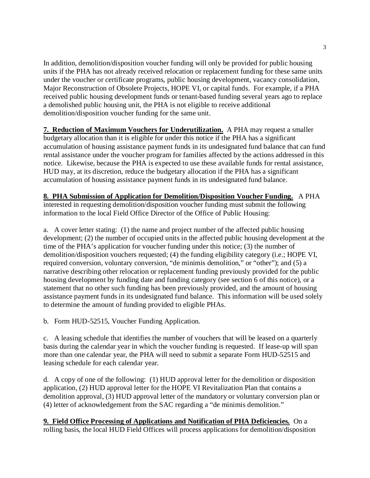In addition, demolition/disposition voucher funding will only be provided for public housing units if the PHA has not already received relocation or replacement funding for these same units under the voucher or certificate programs, public housing development, vacancy consolidation, Major Reconstruction of Obsolete Projects, HOPE VI, or capital funds. For example, if a PHA received public housing development funds or tenant-based funding several years ago to replace a demolished public housing unit, the PHA is not eligible to receive additional demolition/disposition voucher funding for the same unit.

7. Reduction of Maximum Vouchers for Underutilization. A PHA may request a smaller budgetary allocation than it is eligible for under this notice if the PHA has a significant accumulation of housing assistance payment funds in its undesignated fund balance that can fund rental assistance under the voucher program for families affected by the actions addressed in this notice. Likewise, because the PHA is expected to use these available funds for rental assistance, HUD may, at its discretion, reduce the budgetary allocation if the PHA has a significant accumulation of housing assistance payment funds in its undesignated fund balance.

8. PHA Submission of Application for Demolition/Disposition Voucher Funding. A PHA interested in requesting demolition/disposition voucher funding must submit the following information to the local Field Office Director of the Office of Public Housing:

a. A cover letter stating: (1) the name and project number of the affected public housing development; (2) the number of occupied units in the affected public housing development at the time of the PHA's application for voucher funding under this notice;  $(3)$  the number of demolition/disposition vouchers requested; (4) the funding eligibility category (i.e.; HOPE VI, required conversion, voluntary conversion, "de minimis demolition," or "other"); and (5) a narrative describing other relocation or replacement funding previously provided for the public housing development by funding date and funding category (see section 6 of this notice), or a statement that no other such funding has been previously provided, and the amount of housing assistance payment funds in its undesignated fund balance. This information will be used solely to determine the amount of funding provided to eligible PHAs.

b. Form HUD-52515, Voucher Funding Application.

c. A leasing schedule that identifies the number of vouchers that will be leased on a quarterly basis during the calendar year in which the voucher funding is requested. If lease-up will span more than one calendar year, the PHA will need to submit a separate Form HUD-52515 and leasing schedule for each calendar year.

d. A copy of one of the following: (1) HUD approval letter for the demolition or disposition application, (2) HUD approval letter for the HOPE VI Revitalization Plan that contains a demolition approval, (3) HUD approval letter of the mandatory or voluntary conversion plan or  $(4)$  letter of acknowledgement from the SAC regarding a "de minimis demolition."

9. Field Office Processing of Applications and Notification of PHA Deficiencies. On a rolling basis, the local HUD Field Offices will process applications for demolition/disposition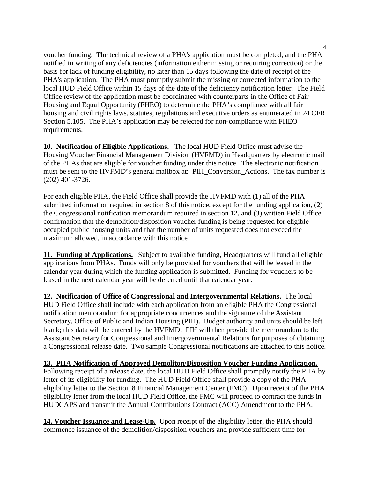4 voucher funding. The technical review of a PHA's application must be completed, and the PHA notified in writing of any deficiencies (information either missing or requiring correction) or the basis for lack of funding eligibility, no later than 15 days following the date of receipt of the PHA's application. The PHA must promptly submit the missing or corrected information to the local HUD Field Office within 15 days of the date of the deficiency notification letter. The Field Office review of the application must be coordinated with counterparts in the Office of Fair Housing and Equal Opportunity (FHEO) to determine the PHA's compliance with all fair housing and civil rights laws, statutes, regulations and executive orders as enumerated in 24 CFR Section 5.105. The PHA's application may be rejected for non-compliance with FHEO requirements.

10. Notification of Eligible Applications. The local HUD Field Office must advise the Housing Voucher Financial Management Division (HVFMD) in Headquarters by electronic mail of the PHAs that are eligible for voucher funding under this notice. The electronic notification must be sent to the HVFMD's general mailbox at: PIH\_Conversion\_Actions. The fax number is (202) 401-3726.

For each eligible PHA, the Field Office shall provide the HVFMD with (1) all of the PHA submitted information required in section 8 of this notice, except for the funding application, (2) the Congressional notification memorandum required in section 12, and (3) written Field Office confirmation that the demolition/disposition voucher funding is being requested for eligible occupied public housing units and that the number of units requested does not exceed the maximum allowed, in accordance with this notice.

11. Funding of Applications. Subject to available funding, Headquarters will fund all eligible applications from PHAs. Funds will only be provided for vouchers that will be leased in the calendar year during which the funding application is submitted. Funding for vouchers to be leased in the next calendar year will be deferred until that calendar year.

12. Notification of Office of Congressional and Intergovernmental Relations. The local HUD Field Office shall include with each application from an eligible PHA the Congressional notification memorandum for appropriate concurrences and the signature of the Assistant Secretary, Office of Public and Indian Housing (PIH). Budget authority and units should be left blank; this data will be entered by the HVFMD. PIH will then provide the memorandum to the Assistant Secretary for Congressional and Intergovernmental Relations for purposes of obtaining a Congressional release date. Two sample Congressional notifications are attached to this notice.

13. PHA Notification of Approved Demoliton/Disposition Voucher Funding Application. Following receipt of a release date, the local HUD Field Office shall promptly notify the PHA by letter of its eligibility for funding. The HUD Field Office shall provide a copy of the PHA eligibility letter to the Section 8 Financial Management Center (FMC). Upon receipt of the PHA eligibility letter from the local HUD Field Office, the FMC will proceed to contract the funds in HUDCAPS and transmit the Annual Contributions Contract (ACC) Amendment to the PHA.

14. Voucher Issuance and Lease-Up. Upon receipt of the eligibility letter, the PHA should commence issuance of the demolition/disposition vouchers and provide sufficient time for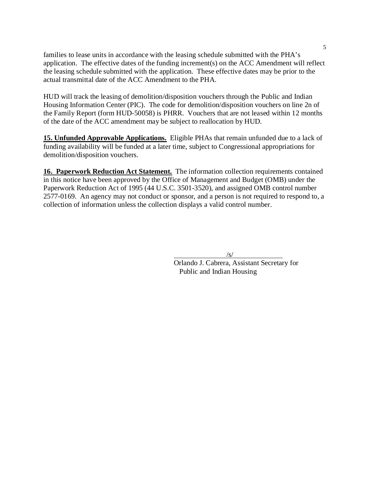families to lease units in accordance with the leasing schedule submitted with the PHA's application. The effective dates of the funding increment(s) on the ACC Amendment will reflect the leasing schedule submitted with the application. These effective dates may be prior to the actual transmittal date of the ACC Amendment to the PHA.

HUD will track the leasing of demolition/disposition vouchers through the Public and Indian Housing Information Center (PIC). The code for demolition/disposition vouchers on line 2n of the Family Report (form HUD-50058) is PHRR. Vouchers that are not leased within 12 months of the date of the ACC amendment may be subject to reallocation by HUD.

15. Unfunded Approvable Applications. Eligible PHAs that remain unfunded due to a lack of funding availability will be funded at a later time, subject to Congressional appropriations for demolition/disposition vouchers.

16. Paperwork Reduction Act Statement. The information collection requirements contained in this notice have been approved by the Office of Management and Budget (OMB) under the Paperwork Reduction Act of 1995 (44 U.S.C. 3501-3520), and assigned OMB control number 2577-0169. An agency may not conduct or sponsor, and a person is not required to respond to, a collection of information unless the collection displays a valid control number.

 $\overline{\phantom{a}}$  /s/

 Orlando J. Cabrera, Assistant Secretary for Public and Indian Housing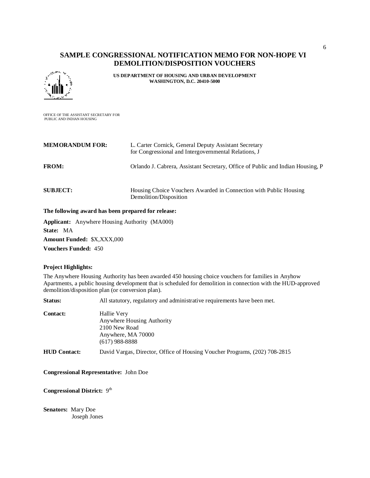## SAMPLE CONGRESSIONAL NOTIFICATION MEMO FOR NON-HOPE VI DEMOLITION/DISPOSITION VOUCHERS



US DEPARTMENT OF HOUSING AND URBAN DEVELOPMENT WASHINGTON, D.C. 20410-5000

OFFICE OF THE ASSISTANT SECRETARY FOR PUBLIC AND INDIAN HOUSING

| <b>MEMORANDUM FOR:</b> | L. Carter Cornick, General Deputy Assistant Secretary<br>for Congressional and Intergovernmental Relations, J |
|------------------------|---------------------------------------------------------------------------------------------------------------|
| <b>FROM:</b>           | Orlando J. Cabrera, Assistant Secretary, Office of Public and Indian Housing, P                               |
| <b>SUBJECT:</b>        | Housing Choice Vouchers Awarded in Connection with Public Housing<br>Demolition/Disposition                   |

#### The following award has been prepared for release:

Applicant: Anywhere Housing Authority (MA000) State: MA Amount Funded: \$X,XXX,000 Vouchers Funded: 450

## Project Highlights:

The Anywhere Housing Authority has been awarded 450 housing choice vouchers for families in Anyhow Apartments, a public housing development that is scheduled for demolition in connection with the HUD-approved demolition/disposition plan (or conversion plan).

Status: All statutory, regulatory and administrative requirements have been met.

| <b>Contact:</b>     | Hallie Very<br>Anywhere Housing Authority<br>2100 New Road<br>Anywhere, MA 70000<br>$(617)$ 988-8888 |
|---------------------|------------------------------------------------------------------------------------------------------|
| <b>HUD Contact:</b> | David Vargas, Director, Office of Housing Voucher Programs, (202) 708-2815                           |

Congressional Representative: John Doe

Congressional District: 9<sup>th</sup>

Senators: Mary Doe Joseph Jones